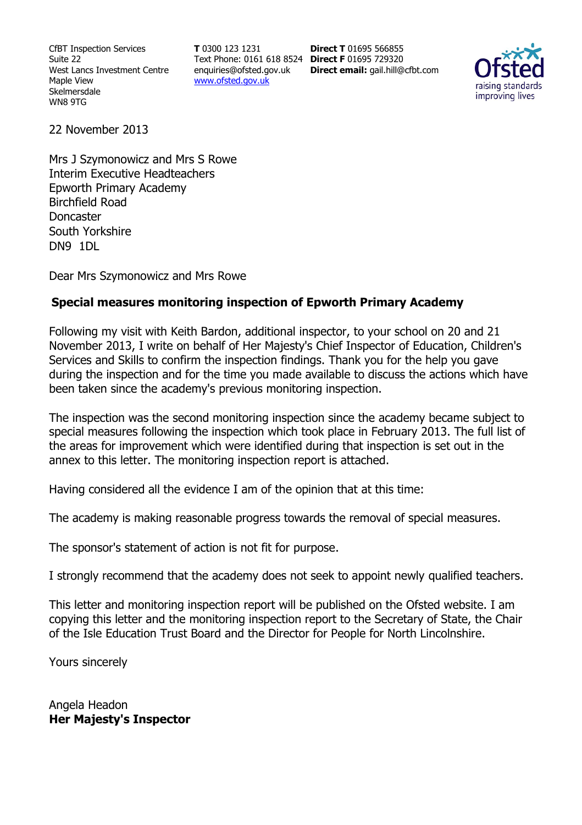CfBT Inspection Services Suite 22 West Lancs Investment Centre Maple View Skelmersdale WN8 9TG

**T** 0300 123 1231 Text Phone: 0161 618 8524 **Direct F** 01695 729320 enquiries@ofsted.gov.uk www.ofsted.gov.uk

**Direct T** 01695 566855 **Direct email:** gail.hill@cfbt.com



22 November 2013

Mrs J Szymonowicz and Mrs S Rowe Interim Executive Headteachers Epworth Primary Academy Birchfield Road Doncaster South Yorkshire DN9 1DL

Dear Mrs Szymonowicz and Mrs Rowe

#### **Special measures monitoring inspection of Epworth Primary Academy**

Following my visit with Keith Bardon, additional inspector, to your school on 20 and 21 November 2013, I write on behalf of Her Majesty's Chief Inspector of Education, Children's Services and Skills to confirm the inspection findings. Thank you for the help you gave during the inspection and for the time you made available to discuss the actions which have been taken since the academy's previous monitoring inspection.

The inspection was the second monitoring inspection since the academy became subject to special measures following the inspection which took place in February 2013. The full list of the areas for improvement which were identified during that inspection is set out in the annex to this letter. The monitoring inspection report is attached.

Having considered all the evidence I am of the opinion that at this time:

The academy is making reasonable progress towards the removal of special measures.

The sponsor's statement of action is not fit for purpose.

I strongly recommend that the academy does not seek to appoint newly qualified teachers.

This letter and monitoring inspection report will be published on the Ofsted website. I am copying this letter and the monitoring inspection report to the Secretary of State, the Chair of the Isle Education Trust Board and the Director for People for North Lincolnshire.

Yours sincerely

Angela Headon **Her Majesty's Inspector**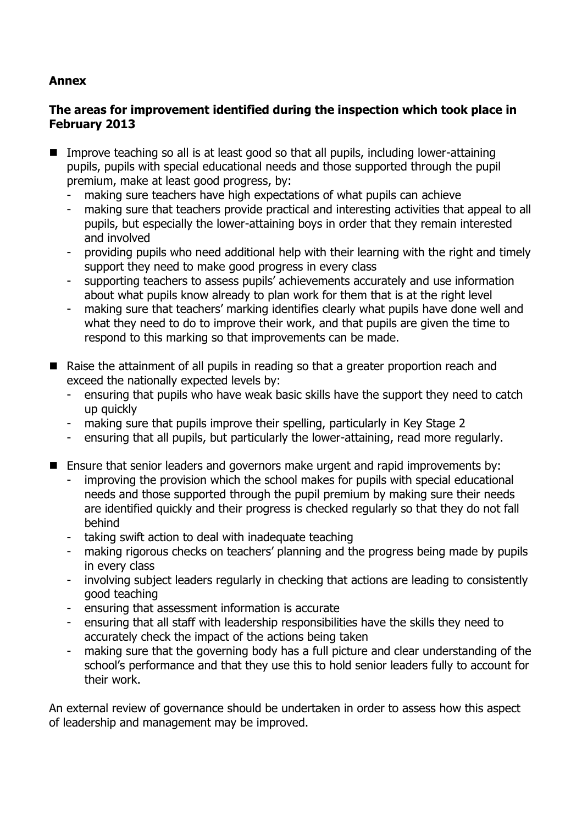### **Annex**

#### **The areas for improvement identified during the inspection which took place in February 2013**

- Improve teaching so all is at least good so that all pupils, including lower-attaining pupils, pupils with special educational needs and those supported through the pupil premium, make at least good progress, by:
	- making sure teachers have high expectations of what pupils can achieve
	- making sure that teachers provide practical and interesting activities that appeal to all pupils, but especially the lower-attaining boys in order that they remain interested and involved
	- providing pupils who need additional help with their learning with the right and timely support they need to make good progress in every class
	- supporting teachers to assess pupils' achievements accurately and use information about what pupils know already to plan work for them that is at the right level
	- making sure that teachers' marking identifies clearly what pupils have done well and what they need to do to improve their work, and that pupils are given the time to respond to this marking so that improvements can be made.
- Raise the attainment of all pupils in reading so that a greater proportion reach and exceed the nationally expected levels by:
	- ensuring that pupils who have weak basic skills have the support they need to catch up quickly
	- making sure that pupils improve their spelling, particularly in Key Stage 2
	- ensuring that all pupils, but particularly the lower-attaining, read more regularly.
- Ensure that senior leaders and governors make urgent and rapid improvements by:
	- improving the provision which the school makes for pupils with special educational needs and those supported through the pupil premium by making sure their needs are identified quickly and their progress is checked regularly so that they do not fall behind
	- taking swift action to deal with inadequate teaching
	- making rigorous checks on teachers' planning and the progress being made by pupils in every class
	- involving subject leaders regularly in checking that actions are leading to consistently good teaching
	- ensuring that assessment information is accurate
	- ensuring that all staff with leadership responsibilities have the skills they need to accurately check the impact of the actions being taken
	- making sure that the governing body has a full picture and clear understanding of the school's performance and that they use this to hold senior leaders fully to account for their work.

An external review of governance should be undertaken in order to assess how this aspect of leadership and management may be improved.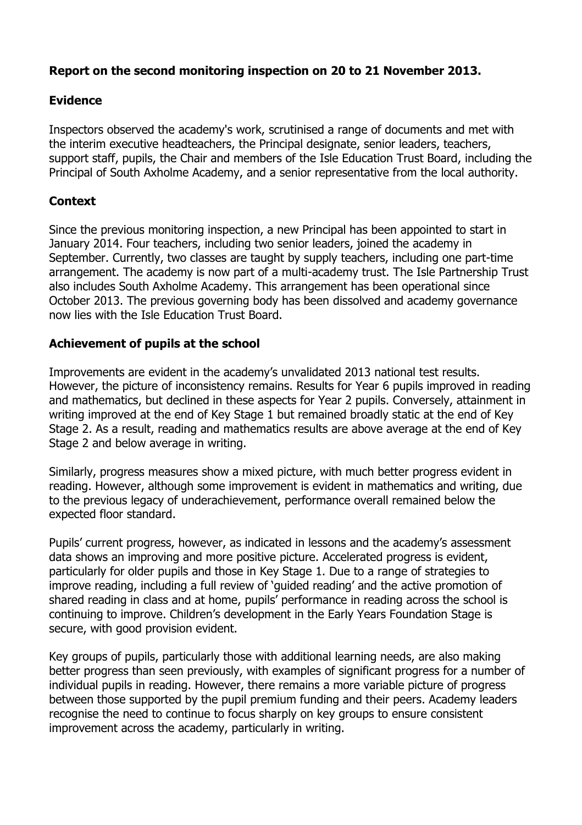## **Report on the second monitoring inspection on 20 to 21 November 2013.**

### **Evidence**

Inspectors observed the academy's work, scrutinised a range of documents and met with the interim executive headteachers, the Principal designate, senior leaders, teachers, support staff, pupils, the Chair and members of the Isle Education Trust Board, including the Principal of South Axholme Academy, and a senior representative from the local authority.

### **Context**

Since the previous monitoring inspection, a new Principal has been appointed to start in January 2014. Four teachers, including two senior leaders, joined the academy in September. Currently, two classes are taught by supply teachers, including one part-time arrangement. The academy is now part of a multi-academy trust. The Isle Partnership Trust also includes South Axholme Academy. This arrangement has been operational since October 2013. The previous governing body has been dissolved and academy governance now lies with the Isle Education Trust Board.

#### **Achievement of pupils at the school**

Improvements are evident in the academy's unvalidated 2013 national test results. However, the picture of inconsistency remains. Results for Year 6 pupils improved in reading and mathematics, but declined in these aspects for Year 2 pupils. Conversely, attainment in writing improved at the end of Key Stage 1 but remained broadly static at the end of Key Stage 2. As a result, reading and mathematics results are above average at the end of Key Stage 2 and below average in writing.

Similarly, progress measures show a mixed picture, with much better progress evident in reading. However, although some improvement is evident in mathematics and writing, due to the previous legacy of underachievement, performance overall remained below the expected floor standard.

Pupils' current progress, however, as indicated in lessons and the academy's assessment data shows an improving and more positive picture. Accelerated progress is evident, particularly for older pupils and those in Key Stage 1. Due to a range of strategies to improve reading, including a full review of 'guided reading' and the active promotion of shared reading in class and at home, pupils' performance in reading across the school is continuing to improve. Children's development in the Early Years Foundation Stage is secure, with good provision evident.

Key groups of pupils, particularly those with additional learning needs, are also making better progress than seen previously, with examples of significant progress for a number of individual pupils in reading. However, there remains a more variable picture of progress between those supported by the pupil premium funding and their peers. Academy leaders recognise the need to continue to focus sharply on key groups to ensure consistent improvement across the academy, particularly in writing.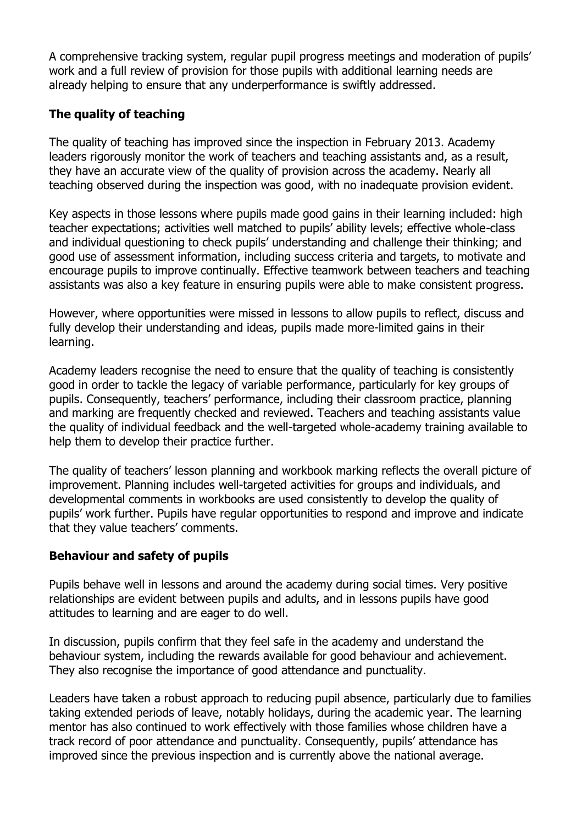A comprehensive tracking system, regular pupil progress meetings and moderation of pupils' work and a full review of provision for those pupils with additional learning needs are already helping to ensure that any underperformance is swiftly addressed.

# **The quality of teaching**

The quality of teaching has improved since the inspection in February 2013. Academy leaders rigorously monitor the work of teachers and teaching assistants and, as a result, they have an accurate view of the quality of provision across the academy. Nearly all teaching observed during the inspection was good, with no inadequate provision evident.

Key aspects in those lessons where pupils made good gains in their learning included: high teacher expectations; activities well matched to pupils' ability levels; effective whole-class and individual questioning to check pupils' understanding and challenge their thinking; and good use of assessment information, including success criteria and targets, to motivate and encourage pupils to improve continually. Effective teamwork between teachers and teaching assistants was also a key feature in ensuring pupils were able to make consistent progress.

However, where opportunities were missed in lessons to allow pupils to reflect, discuss and fully develop their understanding and ideas, pupils made more-limited gains in their learning.

Academy leaders recognise the need to ensure that the quality of teaching is consistently good in order to tackle the legacy of variable performance, particularly for key groups of pupils. Consequently, teachers' performance, including their classroom practice, planning and marking are frequently checked and reviewed. Teachers and teaching assistants value the quality of individual feedback and the well-targeted whole-academy training available to help them to develop their practice further.

The quality of teachers' lesson planning and workbook marking reflects the overall picture of improvement. Planning includes well-targeted activities for groups and individuals, and developmental comments in workbooks are used consistently to develop the quality of pupils' work further. Pupils have regular opportunities to respond and improve and indicate that they value teachers' comments.

## **Behaviour and safety of pupils**

Pupils behave well in lessons and around the academy during social times. Very positive relationships are evident between pupils and adults, and in lessons pupils have good attitudes to learning and are eager to do well.

In discussion, pupils confirm that they feel safe in the academy and understand the behaviour system, including the rewards available for good behaviour and achievement. They also recognise the importance of good attendance and punctuality.

Leaders have taken a robust approach to reducing pupil absence, particularly due to families taking extended periods of leave, notably holidays, during the academic year. The learning mentor has also continued to work effectively with those families whose children have a track record of poor attendance and punctuality. Consequently, pupils' attendance has improved since the previous inspection and is currently above the national average.